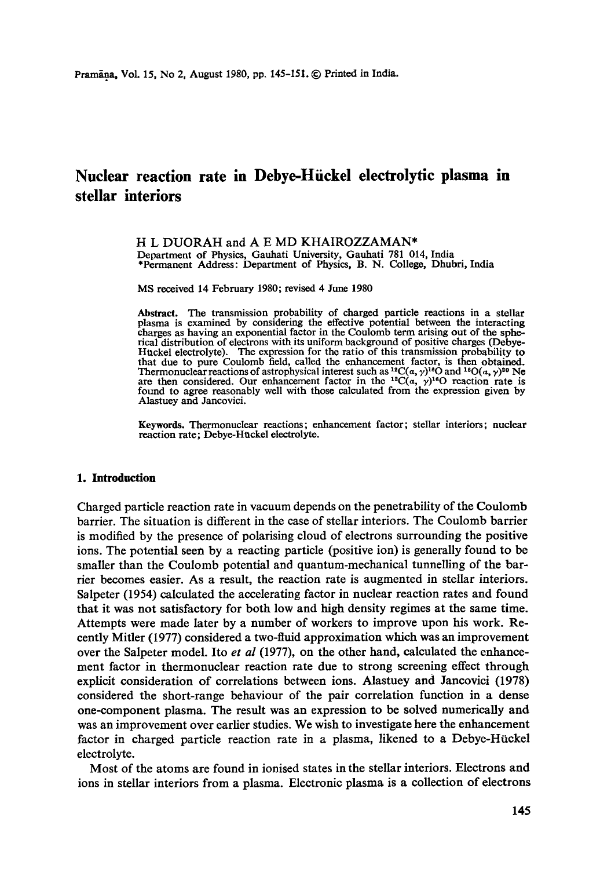# **Nuclear reaction rate in Debye-Hiickel electrolytic plasma in stellar interiors**

H L DUORAH and A E MD KHAIROZZAMAN\* Department of Physics, Gauhati University, Gauhati 781 014, India \*Permanent Address: Department of Physics, B. N. College, Dhubri, India

MS received 14 February 1980; revised 4 June 1980

Abstract. The transmission probability of charged particle reactions in a stellar plasma is examined by considering the effective potential between the interacting charges as having an exponential factor in the Coulomb term arising out of the spherical distribution of electrons with its uniform background of positive charges (Debye-Httckel electrolyte). The expression for the ratio of this transmission probability to that due to pure Coulomb field, called the enhancement factor, is then obtained. Thermonuclear reactions of astrophysical interest such as <sup>12</sup>C( $\alpha$ ,  $\gamma$ )<sup>18</sup>O and <sup>16</sup>O( $\alpha$ ,  $\gamma$ )<sup>20</sup> Ne are then considered. Our enhancement factor in the <sup>12</sup>C( $\alpha$ ,  $\gamma$ )<sup>16</sup>O reaction rate is found to agree reasonably well with those calculated from the expression given by Alastuey and Jancovici.

Keywords. Thermonuclear reactions; enhancement factor; stellar interiors; nuclear reaction rate; Debye-Huckel electrolyte.

## **1. Introduction**

Charged particle reaction rate in vacuum depends on the penetrability of the Coulomb barrier. The situation is different in the case of stellar interiors. The Coulomb barrier is modified by the presence of polarising cloud of electrons surrounding the positive ions. The potential seen by a reacting particle (positive ion) is generally found to be smaller than the Coulomb potential and quantum-mechanical tunnelling of the barrier becomes easier. As a result, the reaction rate is augmented in stellar interiors. Salpeter (1954) calculated the accelerating factor in nuclear reaction rates and found that it was not satisfactory for both low and high density regimes at the same time. Attempts were made later by a number of workers to improve upon his work. Recently Mitler (1977) considered a two-fluid approximation which was an improvement over the Salpeter model. Ito *et al* (1977), on the other hand, calculated the enhancement factor in thermonuclear reaction rate due to strong screening effect through explicit consideration of correlations between ions. Alastuey and Janeovici (1978) considered the short-range behaviour of the pair correlation function in a dense one-component plasma. The result was an expression to be solved numerically and was an improvement over earlier studies. We wish to investigate here the enhancement factor in charged particle reaction rate in a plasma, likened to a Debye-Hückel electrolyte.

Most of the atoms are found in ionised states in the stellar interiors. Electrons and ions in stellar interiors from a plasma. Electronic plasma is a collection of electrons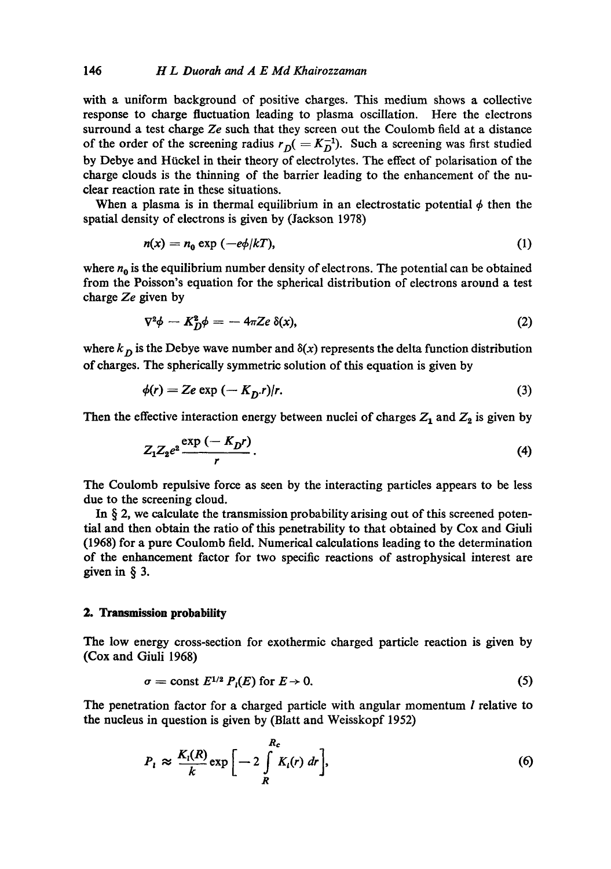with a uniform background of positive charges. This medium shows a collective response to charge fluctuation leading to plasma oscillation. Here the electrons surround a test charge *Ze* such that they screen out the Coulomb field at a distance of the order of the screening radius  $r_D (= K_D^{-1})$ . Such a screening was first studied by Debye and Hückel in their theory of electrolytes. The effect of polarisation of the charge clouds is the thinning of the barrier leading to the enhancement of the nuclear reaction rate in these situations.

When a plasma is in thermal equilibrium in an electrostatic potential  $\phi$  then the spatial density of electrons is given by (Jackson 1978)

$$
n(x) = n_0 \exp(-e\phi/kT), \tag{1}
$$

where  $n_0$  is the equilibrium number density of electrons. The potential can be obtained from the Poisson's equation for the spherical distribution of electrons around a test charge *Ze* given by

$$
\nabla^2 \phi - K_D^2 \phi = -4\pi Z e \, \delta(x), \tag{2}
$$

where  $k_D$  is the Debye wave number and  $\delta(x)$  represents the delta function distribution of charges. The spherically symmetric solution of this equation is given by

$$
\phi(r) = Ze \exp\left(-\frac{K_D r}{r}\right).
$$
 (3)

Then the effective interaction energy between nuclei of charges  $Z_1$  and  $Z_2$  is given by

$$
Z_1 Z_2 e^2 \frac{\exp\left(-K_D r\right)}{r}.
$$
 (4)

The Coulomb repulsive force as seen by the interacting particles appears to be less due to the screening cloud.

In  $\S$  2, we calculate the transmission probability arising out of this screened potential and then obtain the ratio of this penetrability to that obtained by Cox and Giuli (1968) for a pure Coulomb field. Numerical calculations leading to the determination of the enhancement factor for two specific reactions of astrophysical interest are given in § 3.

## **2. Transmission probability**

The low energy cross-section for exothermie charged particle reaction is given by (Cox and Giuli 1968)

$$
\sigma = \text{const } E^{1/2} P_i(E) \text{ for } E \to 0. \tag{5}
$$

The penetration factor for a charged particle with angular momentum *l* relative to the nucleus in question is given by (Blatt and Weisskopf 1952)

$$
P_l \approx \frac{K_l(R)}{k} \exp\left[-2\int\limits_R^{R_c} K_l(r) \, dr\right],\tag{6}
$$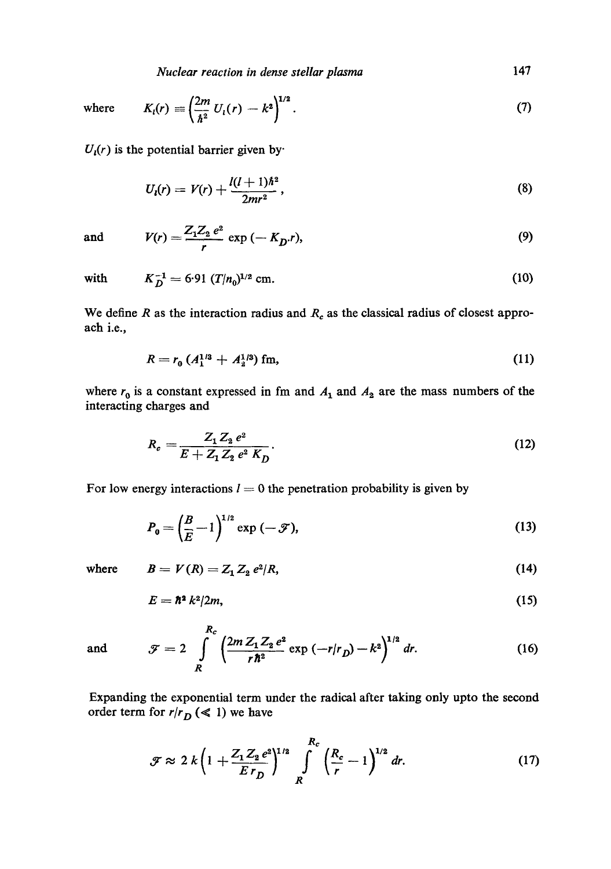*Nuclear reaction in dense stellar plasma* 147

where 
$$
K_l(r) = \left(\frac{2m}{\hbar^2} U_l(r) - k^2\right)^{1/2}
$$
. (7)

 $U_i(r)$  is the potential barrier given by

$$
U_{i}(r) = V(r) + \frac{l(l+1)\hbar^{2}}{2mr^{2}},
$$
\n(8)

and *V(r) Z1Zz e2* 

$$
V(r) = \frac{Z_1 Z_2 e^2}{r} \exp(-K_D r),
$$
\n(9)

with 
$$
K_D^{-1} = 6.91 (T/n_0)^{1/2}
$$
 cm. (10)

We define R as the interaction radius and  $R_c$  as the classical radius of closest approaeh i.e.,

$$
R = r_0 \left( A_1^{1/3} + A_2^{1/3} \right) \text{ fm},\tag{11}
$$

where  $r_0$  is a constant expressed in fm and  $A_1$  and  $A_2$  are the mass numbers of the interacting charges and

$$
R_e = \frac{Z_1 Z_2 e^2}{E + Z_1 Z_2 e^2 K_D}.
$$
\n(12)

For low energy interactions  $l = 0$  the penetration probability is given by

 $\mathbf{z}$ 

$$
P_0 = \left(\frac{B}{E} - 1\right)^{1/2} \exp\left(-\mathcal{F}\right),\tag{13}
$$

where 
$$
B = V(R) = Z_1 Z_2 e^2/R,
$$
 (14)

$$
E = \hbar^2 k^2 / 2m, \tag{15}
$$

and 
$$
\mathcal{F} = 2 \int_{R}^{R_c} \left( \frac{2m Z_1 Z_2 e^2}{r \hbar^2} \exp(-r/r_D) - k^2 \right)^{1/2} dr.
$$
 (16)

Expanding the exponential term under the radical after taking only upto the second order term for  $r/r_D \ll 1$ ) we have

$$
\mathcal{F} \approx 2 k \left( 1 + \frac{Z_1 Z_2 e^2}{E r_D} \right)^{1/2} \int\limits_R^{R_c} \left( \frac{R_c}{r} - 1 \right)^{1/2} dr. \tag{17}
$$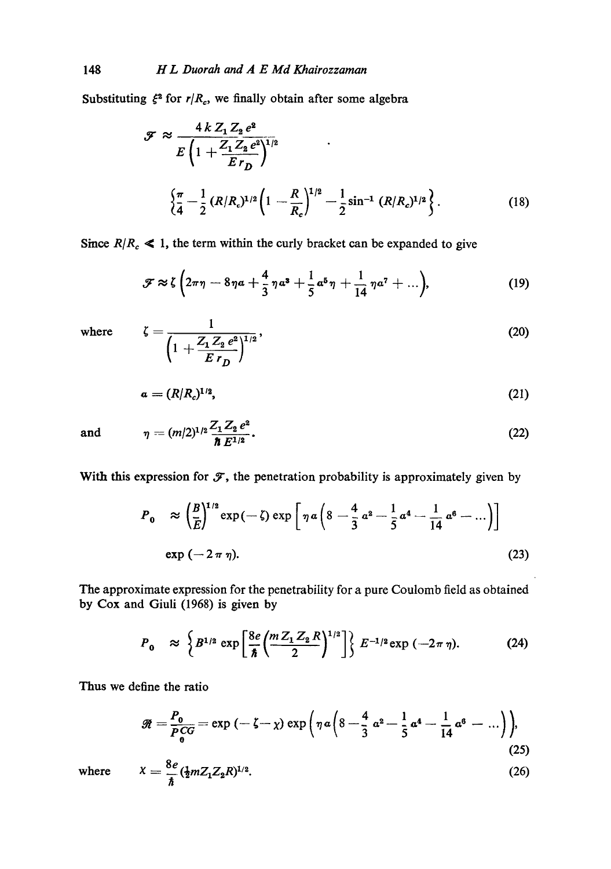Substituting  $\xi^2$  for  $r/R_c$ , we finally obtain after some algebra

$$
\mathcal{F} \approx \frac{4 k Z_1 Z_2 e^2}{E \left(1 + \frac{Z_1 Z_2 e^2}{E r_D}\right)^{1/2}} \qquad .
$$
  

$$
\left\{\frac{\pi}{4} - \frac{1}{2} (R/R_c)^{1/2} \left(1 - \frac{R}{R_c}\right)^{1/2} - \frac{1}{2} \sin^{-1} (R/R_c)^{1/2}\right\}.
$$
 (18)

Since  $R/R_c \le 1$ , the term within the curly bracket can be expanded to give

$$
\mathcal{F} \approx \zeta \left(2\pi\eta - 8\eta a + \frac{4}{3}\eta a^3 + \frac{1}{5}a^5\eta + \frac{1}{14}\eta a^7 + \ldots\right),\tag{19}
$$

where 
$$
\zeta = \frac{1}{\left(1 + \frac{Z_1 Z_2 e^2}{E r_D}\right)^{1/2}},
$$
 (20)

$$
a = (R/Rc)1/2,
$$
\n(21)

and 
$$
\eta = (m/2)^{1/2} \frac{Z_1 Z_2 e^2}{\hbar E^{1/2}}.
$$
 (22)

With this expression for  $\mathcal F$ , the penetration probability is approximately given by

$$
P_0 \approx \left(\frac{B}{E}\right)^{1/2} \exp(-\zeta) \exp\left[\eta a \left(8 - \frac{4}{3} a^2 - \frac{1}{5} a^4 - \frac{1}{14} a^6 - \cdots\right)\right]
$$
  
\n
$$
\exp(-2 \pi \eta).
$$
 (23)

The approximate expression for the penetrability for a pure Coulomb field as obtained by Cox and Giuli (1968) is given by

$$
P_0 \approx \left\{ B^{1/2} \exp \left[ \frac{8e}{\hbar} \left( \frac{m Z_1 Z_2 R}{2} \right)^{1/2} \right] \right\} E^{-1/2} \exp \left( -2\pi \eta \right). \tag{24}
$$

Thus we define the ratio

$$
\mathscr{R} = \frac{P_0}{P_0^{CG}} = \exp(-\zeta - \chi) \exp\left(\eta \, \alpha \left(8 - \frac{4}{3} \, \alpha^2 - \frac{1}{5} \, \alpha^4 - \frac{1}{14} \, \alpha^6 - \ldots\right)\right),\tag{25}
$$

$$
X = \frac{8e}{\hbar} (\frac{1}{2} m Z_1 Z_2 R)^{1/2}.
$$
 (26)

where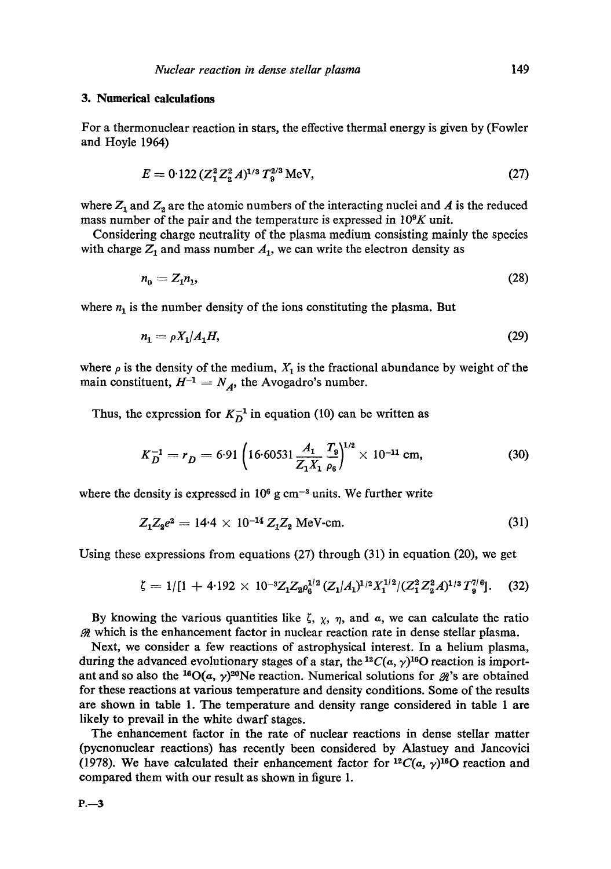## **3. Numerical calculations**

For a thermonuclear reaction in stars, the effective thermal energy is given by (Fowler and Hoyle 1964)

$$
E = 0.122 (Z_1^2 Z_2^2 A)^{1/3} T_9^{2/3} \text{ MeV},\tag{27}
$$

where  $Z_1$  and  $Z_2$  are the atomic numbers of the interacting nuclei and A is the reduced mass number of the pair and the temperature is expressed in  $10^9K$  unit.

Considering charge neutrality of the plasma medium consisting mainly the species with charge  $Z_1$  and mass number  $A_1$ , we can write the electron density as

$$
n_0 = Z_1 n_1,\tag{28}
$$

where  $n_1$  is the number density of the ions constituting the plasma. But

$$
n_1 = \rho X_1 / A_1 H,\tag{29}
$$

where  $\rho$  is the density of the medium,  $X_1$  is the fractional abundance by weight of the main constituent,  $H^{-1} = N_A$ , the Avogadro's number.

Thus, the expression for  $K_D^{-1}$  in equation (10) can be written as

$$
K_D^{-1} = r_D = 6.91 \left( 16.60531 \frac{A_1}{Z_1 X_1} \frac{T_9}{\rho_6} \right)^{1/2} \times 10^{-11} \text{ cm},\tag{30}
$$

where the density is expressed in  $10<sup>6</sup>$  g cm<sup>-3</sup> units. We further write

$$
Z_1 Z_2 e^2 = 14.4 \times 10^{-14} Z_1 Z_2 \text{ MeV-cm.}
$$
 (31)

Using these expressions from equations (27) through (31) in equation (20), we get

$$
\zeta = 1/[1 + 4.192 \times 10^{-3} Z_1 Z_2 \rho_6^{1/2} (Z_1/A_1)^{1/2} X_1^{1/2} / (Z_1^2 Z_2^2 A)^{1/3} T_9^{7/6}].
$$
 (32)

By knowing the various quantities like  $\zeta$ ,  $\chi$ ,  $\eta$ , and  $\alpha$ , we can calculate the ratio  $\mathcal{R}$  which is the enhancement factor in nuclear reaction rate in dense stellar plasma.

Next, we consider a few reactions of astrophysical interest. In a helium plasma, during the advanced evolutionary stages of a star, the <sup>12</sup>C( $\alpha$ ,  $\gamma$ )<sup>16</sup>O reaction is important and so also the <sup>16</sup>O( $\alpha$ ,  $\gamma$ )<sup>20</sup>Ne reaction. Numerical solutions for  $\mathcal{R}$ 's are obtained for these reactions at various temperature and density conditions. Some of the results are shown in table 1. The temperature and density range considered in table 1 are likely to prevail in the white dwarf stages.

The enhancement factor in the rate of nuclear reactions in dense stellar matter (pycnonuelear reactions) has recently been considered by Alastuey and Jancovici (1978). We have calculated their enhancement factor for  ${}^{12}C(a, \gamma){}^{16}O$  reaction and compared them with our result as shown in figure 1.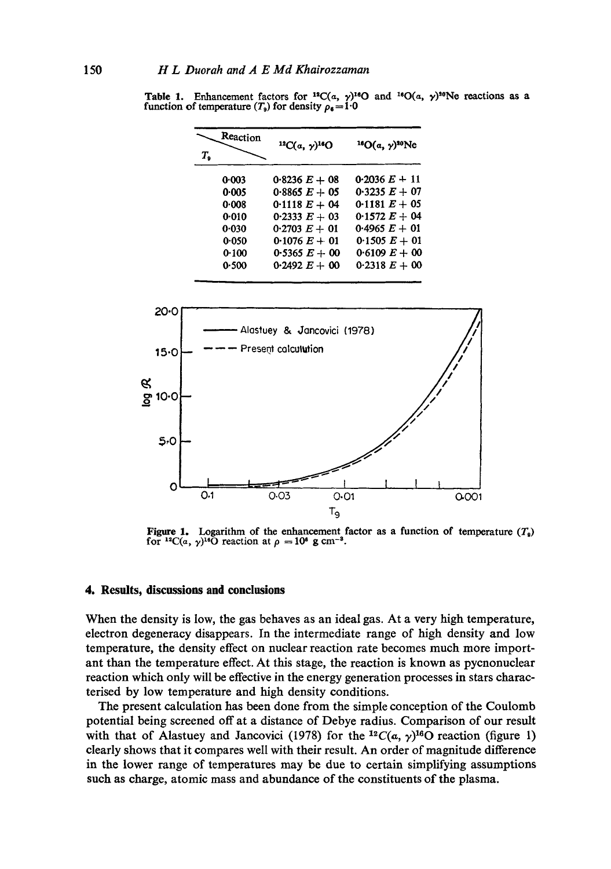| Reaction<br>Т, | ${}^{12}C(a, y)$ <sup>16</sup> O | <sup>16</sup> O(a, y) <sup>20</sup> Ne |
|----------------|----------------------------------|----------------------------------------|
| 0.003          | $0.8236 E + 08$                  | 0.2036 $E + 11$                        |
| 0.005          | 0.8865 $E + 05$                  | 0.3235 $E + 07$                        |
| 0.008          | 0.1118 $E + 04$                  | 0-1181 $E + 05$                        |
| 0.010          | 0.2333 $E + 03$                  | 0.1572 $E + 04$                        |
| 0.030          | $0.2703 E + 01$                  | 0.4965 $E + 01$                        |
| 0.050          | 0.1076 $E + 01$                  | 0.1505 $E + 01$                        |
| 0.100          | 0.5365 $E + 00$                  | 0.6109 $E + 00$                        |
| 0.500          | 0.2492 $E + 00$                  | $0.2318 E + 00$                        |

**Table 1.** Enhancement factors for <sup>12</sup>C(a,  $\gamma$ )<sup>16</sup>O and <sup>16</sup>O(a,  $\gamma$ )<sup>20</sup>Ne reactions as a function of temperature  $(T_9)$  for density  $\rho_6 = 1.0$ 



Figure 1. Logarithm of the enhancement factor as a function of temperature  $(T<sub>9</sub>)$ for <sup>12</sup>C(a,  $\gamma$ )<sup>16</sup>O reaction at  $\rho = 10^8$  g cm<sup>-3</sup>.

### **4. Results, discussions and conclusions**

When the density is low, the gas behaves as an ideal gas. At a very high temperature, electron degeneracy disappears. In the intermediate range of high density and low temperature, the density effect on nuclear reaction rate becomes much more important than the temperature effect. At this stage, the reaction is known as pycnonuclear reaction which only will be effective in the energy generation processes in stars characterised by low temperature and high density conditions.

The present calculation has been done from the simple conception of the Coulomb potential being screened off at a distance of Debye radius. Comparison of our result with that of Alastuey and Jancovici (1978) for the <sup>12</sup>C( $\alpha$ ,  $\gamma$ )<sup>16</sup>O reaction (figure 1) clearly shows that it compares well with their result. An order of magnitude difference in the lower range of temperatures may be due to certain simplifying assumptions such as charge, atomic mass and abundance of the constituents of the plasma.